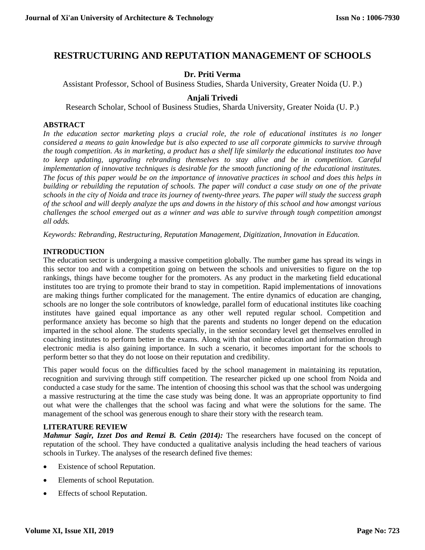# **RESTRUCTURING AND REPUTATION MANAGEMENT OF SCHOOLS**

# **Dr. Priti Verma**

Assistant Professor, School of Business Studies, Sharda University, Greater Noida (U. P.)

# **Anjali Trivedi**

Research Scholar, School of Business Studies, Sharda University, Greater Noida (U. P.)

### **ABSTRACT**

*In the education sector marketing plays a crucial role, the role of educational institutes is no longer considered a means to gain knowledge but is also expected to use all corporate gimmicks to survive through the tough competition. As in marketing, a product has a shelf life similarly the educational institutes too have to keep updating, upgrading rebranding themselves to stay alive and be in competition. Careful implementation of innovative techniques is desirable for the smooth functioning of the educational institutes. The focus of this paper would be on the importance of innovative practices in school and does this helps in building or rebuilding the reputation of schools. The paper will conduct a case study on one of the private schools in the city of Noida and trace its journey of twenty-three years. The paper will study the success graph of the school and will deeply analyze the ups and downs in the history of this school and how amongst various challenges the school emerged out as a winner and was able to survive through tough competition amongst all odds.*

*Keywords: Rebranding, Restructuring, Reputation Management, Digitization, Innovation in Education.*

### **INTRODUCTION**

The education sector is undergoing a massive competition globally. The number game has spread its wings in this sector too and with a competition going on between the schools and universities to figure on the top rankings, things have become tougher for the promoters. As any product in the marketing field educational institutes too are trying to promote their brand to stay in competition. Rapid implementations of innovations are making things further complicated for the management. The entire dynamics of education are changing, schools are no longer the sole contributors of knowledge, parallel form of educational institutes like coaching institutes have gained equal importance as any other well reputed regular school. Competition and performance anxiety has become so high that the parents and students no longer depend on the education imparted in the school alone. The students specially, in the senior secondary level get themselves enrolled in coaching institutes to perform better in the exams. Along with that online education and information through electronic media is also gaining importance. In such a scenario, it becomes important for the schools to perform better so that they do not loose on their reputation and credibility.

This paper would focus on the difficulties faced by the school management in maintaining its reputation, recognition and surviving through stiff competition. The researcher picked up one school from Noida and conducted a case study for the same. The intention of choosing this school was that the school was undergoing a massive restructuring at the time the case study was being done. It was an appropriate opportunity to find out what were the challenges that the school was facing and what were the solutions for the same. The management of the school was generous enough to share their story with the research team.

# **LITERATURE REVIEW**

*Mahmur Sagir, Izzet Dos and Remzi B. Cetin (2014):* The researchers have focused on the concept of reputation of the school. They have conducted a qualitative analysis including the head teachers of various schools in Turkey. The analyses of the research defined five themes:

- Existence of school Reputation.
- Elements of school Reputation.
- Effects of school Reputation.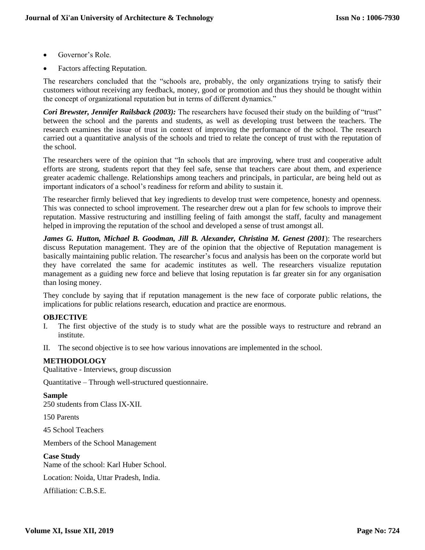- Governor's Role.
- Factors affecting Reputation.

The researchers concluded that the "schools are, probably, the only organizations trying to satisfy their customers without receiving any feedback, money, good or promotion and thus they should be thought within the concept of organizational reputation but in terms of different dynamics."

*Cori Brewster, Jennifer Railsback (2003):* The researchers have focused their study on the building of "trust" between the school and the parents and students, as well as developing trust between the teachers. The research examines the issue of trust in context of improving the performance of the school. The research carried out a quantitative analysis of the schools and tried to relate the concept of trust with the reputation of the school.

The researchers were of the opinion that "In schools that are improving, where trust and cooperative adult efforts are strong, students report that they feel safe, sense that teachers care about them, and experience greater academic challenge. Relationships among teachers and principals, in particular, are being held out as important indicators of a school's readiness for reform and ability to sustain it.

The researcher firmly believed that key ingredients to develop trust were competence, honesty and openness. This was connected to school improvement. The researcher drew out a plan for few schools to improve their reputation. Massive restructuring and instilling feeling of faith amongst the staff, faculty and management helped in improving the reputation of the school and developed a sense of trust amongst all.

*James G. Hutton, Michael B. Goodman, Jill B. Alexander, Christina M. Genest (2001*): The researchers discuss Reputation management. They are of the opinion that the objective of Reputation management is basically maintaining public relation. The researcher's focus and analysis has been on the corporate world but they have correlated the same for academic institutes as well. The researchers visualize reputation management as a guiding new force and believe that losing reputation is far greater sin for any organisation than losing money.

They conclude by saying that if reputation management is the new face of corporate public relations, the implications for public relations research, education and practice are enormous.

# **OBJECTIVE**

- I. The first objective of the study is to study what are the possible ways to restructure and rebrand an institute.
- II. The second objective is to see how various innovations are implemented in the school.

### **METHODOLOGY**

Qualitative - Interviews, group discussion

Quantitative – Through well-structured questionnaire.

### **Sample**

250 students from Class IX-XII.

150 Parents

45 School Teachers

Members of the School Management

**Case Study** Name of the school: Karl Huber School.

Location: Noida, Uttar Pradesh, India.

Affiliation: C.B.S.E.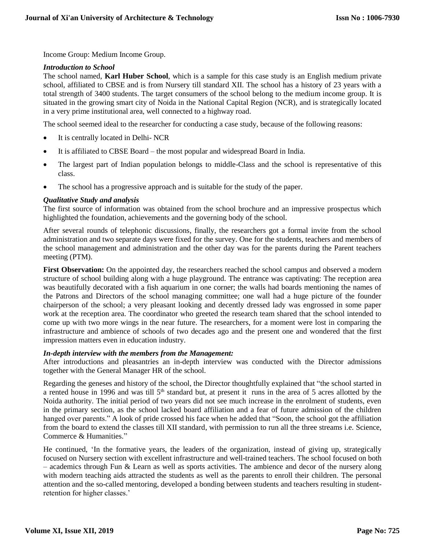Income Group: Medium Income Group.

#### *Introduction to School*

The school named, **Karl Huber School**, which is a sample for this case study is an English medium private school, affiliated to CBSE and is from Nursery till standard XII. The school has a history of 23 years with a total strength of 3400 students. The target consumers of the school belong to the medium income group. It is situated in the growing smart city of Noida in the National Capital Region (NCR), and is strategically located in a very prime institutional area, well connected to a highway road.

The school seemed ideal to the researcher for conducting a case study, because of the following reasons:

- It is centrally located in Delhi- NCR
- It is affiliated to CBSE Board the most popular and widespread Board in India.
- The largest part of Indian population belongs to middle-Class and the school is representative of this class.
- The school has a progressive approach and is suitable for the study of the paper.

#### *Qualitative Study and analysis*

The first source of information was obtained from the school brochure and an impressive prospectus which highlighted the foundation, achievements and the governing body of the school.

After several rounds of telephonic discussions, finally, the researchers got a formal invite from the school administration and two separate days were fixed for the survey. One for the students, teachers and members of the school management and administration and the other day was for the parents during the Parent teachers meeting (PTM).

**First Observation:** On the appointed day, the researchers reached the school campus and observed a modern structure of school building along with a huge playground. The entrance was captivating: The reception area was beautifully decorated with a fish aquarium in one corner; the walls had boards mentioning the names of the Patrons and Directors of the school managing committee; one wall had a huge picture of the founder chairperson of the school; a very pleasant looking and decently dressed lady was engrossed in some paper work at the reception area. The coordinator who greeted the research team shared that the school intended to come up with two more wings in the near future. The researchers, for a moment were lost in comparing the infrastructure and ambience of schools of two decades ago and the present one and wondered that the first impression matters even in education industry.

### *In-depth interview with the members from the Management:*

After introductions and pleasantries an in-depth interview was conducted with the Director admissions together with the General Manager HR of the school.

Regarding the geneses and history of the school, the Director thoughtfully explained that "the school started in a rented house in 1996 and was till 5<sup>th</sup> standard but, at present it runs in the area of 5 acres allotted by the Noida authority. The initial period of two years did not see much increase in the enrolment of students, even in the primary section, as the school lacked board affiliation and a fear of future admission of the children hanged over parents." A look of pride crossed his face when he added that "Soon, the school got the affiliation from the board to extend the classes till XII standard, with permission to run all the three streams i.e. Science, Commerce & Humanities."

He continued, 'In the formative years, the leaders of the organization, instead of giving up, strategically focused on Nursery section with excellent infrastructure and well-trained teachers. The school focused on both – academics through Fun & Learn as well as sports activities. The ambience and decor of the nursery along with modern teaching aids attracted the students as well as the parents to enroll their children. The personal attention and the so-called mentoring, developed a bonding between students and teachers resulting in studentretention for higher classes.'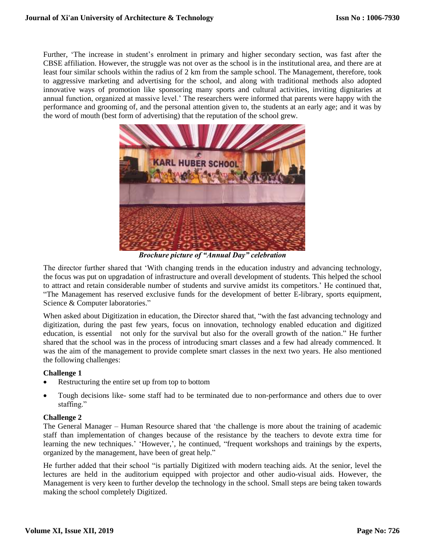Further, 'The increase in student's enrolment in primary and higher secondary section, was fast after the CBSE affiliation. However, the struggle was not over as the school is in the institutional area, and there are at least four similar schools within the radius of 2 km from the sample school. The Management, therefore, took to aggressive marketing and advertising for the school, and along with traditional methods also adopted innovative ways of promotion like sponsoring many sports and cultural activities, inviting dignitaries at annual function, organized at massive level.' The researchers were informed that parents were happy with the performance and grooming of, and the personal attention given to, the students at an early age; and it was by the word of mouth (best form of advertising) that the reputation of the school grew.



*Brochure picture of "Annual Day" celebration*

The director further shared that 'With changing trends in the education industry and advancing technology, the focus was put on upgradation of infrastructure and overall development of students. This helped the school to attract and retain considerable number of students and survive amidst its competitors.' He continued that, "The Management has reserved exclusive funds for the development of better E-library, sports equipment, Science & Computer laboratories."

When asked about Digitization in education, the Director shared that, "with the fast advancing technology and digitization, during the past few years, focus on innovation, technology enabled education and digitized education, is essential not only for the survival but also for the overall growth of the nation." He further shared that the school was in the process of introducing smart classes and a few had already commenced. It was the aim of the management to provide complete smart classes in the next two years. He also mentioned the following challenges:

### **Challenge 1**

- Restructuring the entire set up from top to bottom
- Tough decisions like- some staff had to be terminated due to non-performance and others due to over staffing."

### **Challenge 2**

The General Manager – Human Resource shared that 'the challenge is more about the training of academic staff than implementation of changes because of the resistance by the teachers to devote extra time for learning the new techniques.' 'However,', he continued, "frequent workshops and trainings by the experts, organized by the management, have been of great help."

He further added that their school "is partially Digitized with modern teaching aids. At the senior, level the lectures are held in the auditorium equipped with projector and other audio-visual aids. However, the Management is very keen to further develop the technology in the school. Small steps are being taken towards making the school completely Digitized.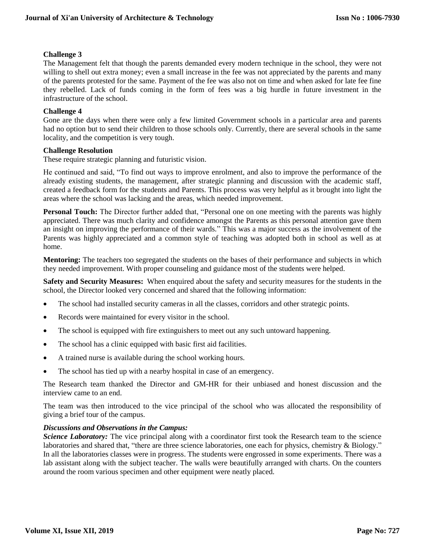### **Challenge 3**

The Management felt that though the parents demanded every modern technique in the school, they were not willing to shell out extra money; even a small increase in the fee was not appreciated by the parents and many of the parents protested for the same. Payment of the fee was also not on time and when asked for late fee fine they rebelled. Lack of funds coming in the form of fees was a big hurdle in future investment in the infrastructure of the school.

### **Challenge 4**

Gone are the days when there were only a few limited Government schools in a particular area and parents had no option but to send their children to those schools only. Currently, there are several schools in the same locality, and the competition is very tough.

### **Challenge Resolution**

These require strategic planning and futuristic vision.

He continued and said, "To find out ways to improve enrolment, and also to improve the performance of the already existing students, the management, after strategic planning and discussion with the academic staff, created a feedback form for the students and Parents. This process was very helpful as it brought into light the areas where the school was lacking and the areas, which needed improvement.

**Personal Touch:** The Director further added that, "Personal one on one meeting with the parents was highly appreciated. There was much clarity and confidence amongst the Parents as this personal attention gave them an insight on improving the performance of their wards." This was a major success as the involvement of the Parents was highly appreciated and a common style of teaching was adopted both in school as well as at home.

**Mentoring:** The teachers too segregated the students on the bases of their performance and subjects in which they needed improvement. With proper counseling and guidance most of the students were helped.

**Safety and Security Measures:** When enquired about the safety and security measures for the students in the school, the Director looked very concerned and shared that the following information:

- The school had installed security cameras in all the classes, corridors and other strategic points.
- Records were maintained for every visitor in the school.
- The school is equipped with fire extinguishers to meet out any such untoward happening.
- The school has a clinic equipped with basic first aid facilities.
- A trained nurse is available during the school working hours.
- The school has tied up with a nearby hospital in case of an emergency.

The Research team thanked the Director and GM-HR for their unbiased and honest discussion and the interview came to an end.

The team was then introduced to the vice principal of the school who was allocated the responsibility of giving a brief tour of the campus.

### *Discussions and Observations in the Campus:*

*Science Laboratory:* The vice principal along with a coordinator first took the Research team to the science laboratories and shared that, "there are three science laboratories, one each for physics, chemistry & Biology." In all the laboratories classes were in progress. The students were engrossed in some experiments. There was a lab assistant along with the subject teacher. The walls were beautifully arranged with charts. On the counters around the room various specimen and other equipment were neatly placed.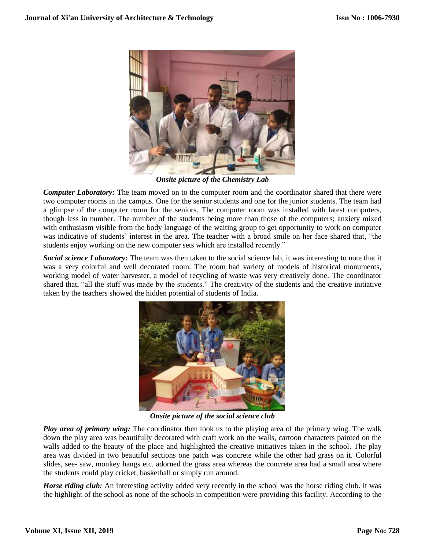

*Onsite picture of the Chemistry Lab*

*Computer Laboratory:* The team moved on to the computer room and the coordinator shared that there were two computer rooms in the campus. One for the senior students and one for the junior students. The team had a glimpse of the computer room for the seniors. The computer room was installed with latest computers, though less in number. The number of the students being more than those of the computers; anxiety mixed with enthusiasm visible from the body language of the waiting group to get opportunity to work on computer was indicative of students' interest in the area. The teacher with a broad smile on her face shared that, "the students enjoy working on the new computer sets which are installed recently."

*Social science Laboratory:* The team was then taken to the social science lab, it was interesting to note that it was a very colorful and well decorated room. The room had variety of models of historical monuments, working model of water harvester, a model of recycling of waste was very creatively done. The coordinator shared that, "all the stuff was made by the students." The creativity of the students and the creative initiative taken by the teachers showed the hidden potential of students of India.



*Onsite picture of the social science club*

*Play area of primary wing:* The coordinator then took us to the playing area of the primary wing. The walk down the play area was beautifully decorated with craft work on the walls, cartoon characters painted on the walls added to the beauty of the place and highlighted the creative initiatives taken in the school. The play area was divided in two beautiful sections one patch was concrete while the other had grass on it. Colorful slides, see- saw, monkey hangs etc. adorned the grass area whereas the concrete area had a small area where the students could play cricket, basketball or simply run around.

*Horse riding club:* An interesting activity added very recently in the school was the horse riding club. It was the highlight of the school as none of the schools in competition were providing this facility. According to the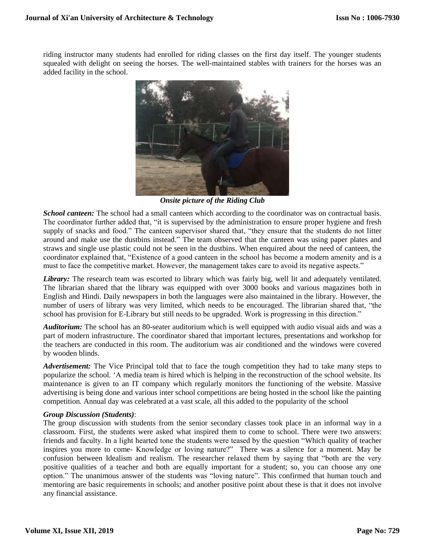riding instructor many students had enrolled for riding classes on the first day itself. The younger students squealed with delight on seeing the horses. The well-maintained stables with trainers for the horses was an added facility in the school.



*Onsite picture of the Riding Club*

*School canteen:* The school had a small canteen which according to the coordinator was on contractual basis. The coordinator further added that, "it is supervised by the administration to ensure proper hygiene and fresh supply of snacks and food." The canteen supervisor shared that, "they ensure that the students do not litter around and make use the dustbins instead." The team observed that the canteen was using paper plates and straws and single use plastic could not be seen in the dustbins. When enquired about the need of canteen, the coordinator explained that, "Existence of a good canteen in the school has become a modern amenity and is a must to face the competitive market. However, the management takes care to avoid its negative aspects."

*Library:* The research team was escorted to library which was fairly big, well lit and adequately ventilated. The librarian shared that the library was equipped with over 3000 books and various magazines both in English and Hindi. Daily newspapers in both the languages were also maintained in the library. However, the number of users of library was very limited, which needs to be encouraged. The librarian shared that, "the school has provision for E-Library but still needs to be upgraded. Work is progressing in this direction."

*Auditorium:* The school has an 80-seater auditorium which is well equipped with audio visual aids and was a part of modern infrastructure. The coordinator shared that important lectures, presentations and workshop for the teachers are conducted in this room. The auditorium was air conditioned and the windows were covered by wooden blinds.

*Advertisement:* The Vice Principal told that to face the tough competition they had to take many steps to popularize the school. 'A media team is hired which is helping in the reconstruction of the school website. Its maintenance is given to an IT company which regularly monitors the functioning of the website. Massive advertising is being done and various inter school competitions are being hosted in the school like the painting competition. Annual day was celebrated at a vast scale, all this added to the popularity of the school

### *Group Discussion (Students)*:

The group discussion with students from the senior secondary classes took place in an informal way in a classroom. First, the students were asked what inspired them to come to school. There were two answers: friends and faculty. In a light hearted tone the students were teased by the question "Which quality of teacher inspires you more to come- Knowledge or loving nature?" There was a silence for a moment. May be confusion between Idealism and realism. The researcher relaxed them by saying that "both are the very positive qualities of a teacher and both are equally important for a student; so, you can choose any one option." The unanimous answer of the students was "loving nature". This confirmed that human touch and mentoring are basic requirements in schools; and another positive point about these is that it does not involve any financial assistance.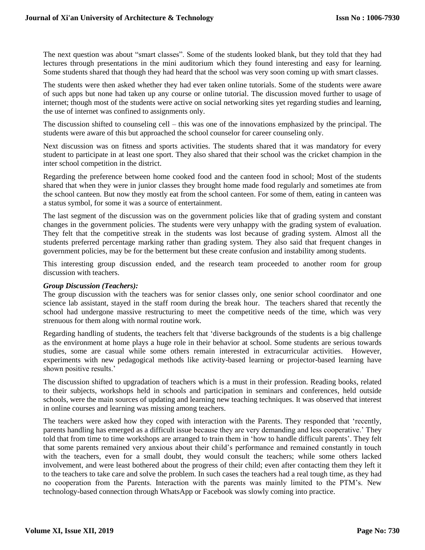The next question was about "smart classes". Some of the students looked blank, but they told that they had lectures through presentations in the mini auditorium which they found interesting and easy for learning. Some students shared that though they had heard that the school was very soon coming up with smart classes.

The students were then asked whether they had ever taken online tutorials. Some of the students were aware of such apps but none had taken up any course or online tutorial. The discussion moved further to usage of internet; though most of the students were active on social networking sites yet regarding studies and learning, the use of internet was confined to assignments only.

The discussion shifted to counseling cell – this was one of the innovations emphasized by the principal. The students were aware of this but approached the school counselor for career counseling only.

Next discussion was on fitness and sports activities. The students shared that it was mandatory for every student to participate in at least one sport. They also shared that their school was the cricket champion in the inter school competition in the district.

Regarding the preference between home cooked food and the canteen food in school; Most of the students shared that when they were in junior classes they brought home made food regularly and sometimes ate from the school canteen. But now they mostly eat from the school canteen. For some of them, eating in canteen was a status symbol, for some it was a source of entertainment.

The last segment of the discussion was on the government policies like that of grading system and constant changes in the government policies. The students were very unhappy with the grading system of evaluation. They felt that the competitive streak in the students was lost because of grading system. Almost all the students preferred percentage marking rather than grading system. They also said that frequent changes in government policies, may be for the betterment but these create confusion and instability among students.

This interesting group discussion ended, and the research team proceeded to another room for group discussion with teachers.

### *Group Discussion (Teachers):*

The group discussion with the teachers was for senior classes only, one senior school coordinator and one science lab assistant, stayed in the staff room during the break hour. The teachers shared that recently the school had undergone massive restructuring to meet the competitive needs of the time, which was very strenuous for them along with normal routine work.

Regarding handling of students, the teachers felt that 'diverse backgrounds of the students is a big challenge as the environment at home plays a huge role in their behavior at school. Some students are serious towards studies, some are casual while some others remain interested in extracurricular activities. However, experiments with new pedagogical methods like activity-based learning or projector-based learning have shown positive results.'

The discussion shifted to upgradation of teachers which is a must in their profession. Reading books, related to their subjects, workshops held in schools and participation in seminars and conferences, held outside schools, were the main sources of updating and learning new teaching techniques. It was observed that interest in online courses and learning was missing among teachers.

The teachers were asked how they coped with interaction with the Parents. They responded that 'recently, parents handling has emerged as a difficult issue because they are very demanding and less cooperative.' They told that from time to time workshops are arranged to train them in 'how to handle difficult parents'. They felt that some parents remained very anxious about their child's performance and remained constantly in touch with the teachers, even for a small doubt, they would consult the teachers; while some others lacked involvement, and were least bothered about the progress of their child; even after contacting them they left it to the teachers to take care and solve the problem. In such cases the teachers had a real tough time, as they had no cooperation from the Parents. Interaction with the parents was mainly limited to the PTM's. New technology-based connection through WhatsApp or Facebook was slowly coming into practice.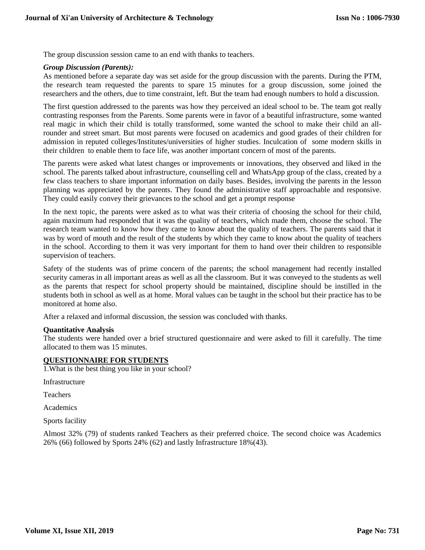The group discussion session came to an end with thanks to teachers.

#### *Group Discussion (Parents):*

As mentioned before a separate day was set aside for the group discussion with the parents. During the PTM, the research team requested the parents to spare 15 minutes for a group discussion, some joined the researchers and the others, due to time constraint, left. But the team had enough numbers to hold a discussion.

The first question addressed to the parents was how they perceived an ideal school to be. The team got really contrasting responses from the Parents. Some parents were in favor of a beautiful infrastructure, some wanted real magic in which their child is totally transformed, some wanted the school to make their child an allrounder and street smart. But most parents were focused on academics and good grades of their children for admission in reputed colleges/Institutes/universities of higher studies. Inculcation of some modern skills in their children to enable them to face life, was another important concern of most of the parents.

The parents were asked what latest changes or improvements or innovations, they observed and liked in the school. The parents talked about infrastructure, counselling cell and WhatsApp group of the class, created by a few class teachers to share important information on daily bases. Besides, involving the parents in the lesson planning was appreciated by the parents. They found the administrative staff approachable and responsive. They could easily convey their grievances to the school and get a prompt response

In the next topic, the parents were asked as to what was their criteria of choosing the school for their child, again maximum had responded that it was the quality of teachers, which made them, choose the school. The research team wanted to know how they came to know about the quality of teachers. The parents said that it was by word of mouth and the result of the students by which they came to know about the quality of teachers in the school. According to them it was very important for them to hand over their children to responsible supervision of teachers.

Safety of the students was of prime concern of the parents; the school management had recently installed security cameras in all important areas as well as all the classroom. But it was conveyed to the students as well as the parents that respect for school property should be maintained, discipline should be instilled in the students both in school as well as at home. Moral values can be taught in the school but their practice has to be monitored at home also.

After a relaxed and informal discussion, the session was concluded with thanks.

#### **Quantitative Analysis**

The students were handed over a brief structured questionnaire and were asked to fill it carefully. The time allocated to them was 15 minutes.

#### **QUESTIONNAIRE FOR STUDENTS**

1.What is the best thing you like in your school?

Infrastructure

Teachers

Academics

Sports facility

Almost 32% (79) of students ranked Teachers as their preferred choice. The second choice was Academics 26% (66) followed by Sports 24% (62) and lastly Infrastructure 18%(43).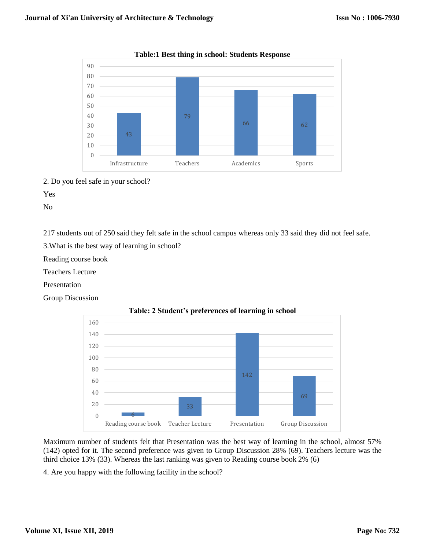



2. Do you feel safe in your school?

Yes

No

217 students out of 250 said they felt safe in the school campus whereas only 33 said they did not feel safe.

3.What is the best way of learning in school?

Reading course book

Teachers Lecture

Presentation

Group Discussion



### **Table: 2 Student's preferences of learning in school**

Maximum number of students felt that Presentation was the best way of learning in the school, almost 57% (142) opted for it. The second preference was given to Group Discussion 28% (69). Teachers lecture was the third choice 13% (33). Whereas the last ranking was given to Reading course book 2% (6)

4. Are you happy with the following facility in the school?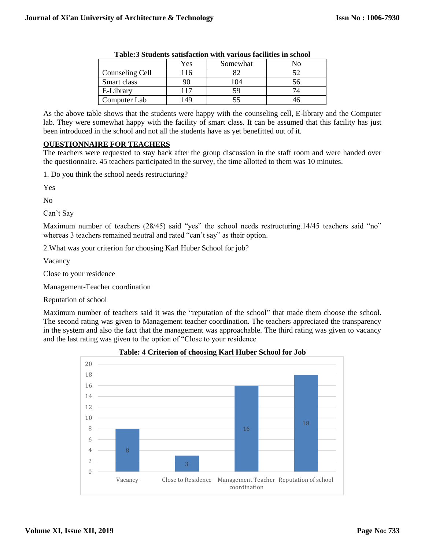|                 | Yes | Somewhat |  |
|-----------------|-----|----------|--|
| Counseling Cell |     |          |  |
| Smart class     |     | 104      |  |
| E-Library       |     |          |  |
| Computer Lab    |     |          |  |

As the above table shows that the students were happy with the counseling cell, E-library and the Computer lab. They were somewhat happy with the facility of smart class. It can be assumed that this facility has just been introduced in the school and not all the students have as yet benefitted out of it.

#### **QUESTIONNAIRE FOR TEACHERS**

The teachers were requested to stay back after the group discussion in the staff room and were handed over the questionnaire. 45 teachers participated in the survey, the time allotted to them was 10 minutes.

1. Do you think the school needs restructuring?

Yes

No

Can't Say

Maximum number of teachers (28/45) said "yes" the school needs restructuring.14/45 teachers said "no" whereas 3 teachers remained neutral and rated "can't say" as their option.

2.What was your criterion for choosing Karl Huber School for job?

Vacancy

Close to your residence

Management-Teacher coordination

Reputation of school

Maximum number of teachers said it was the "reputation of the school" that made them choose the school. The second rating was given to Management teacher coordination. The teachers appreciated the transparency in the system and also the fact that the management was approachable. The third rating was given to vacancy and the last rating was given to the option of "Close to your residence



**Table: 4 Criterion of choosing Karl Huber School for Job**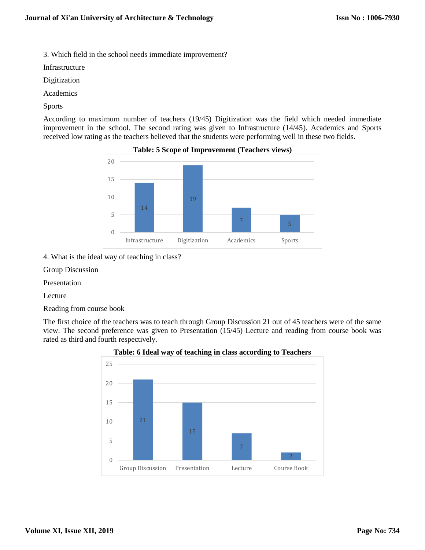3. Which field in the school needs immediate improvement?

Infrastructure

Digitization

Academics

Sports

According to maximum number of teachers (19/45) Digitization was the field which needed immediate improvement in the school. The second rating was given to Infrastructure (14/45). Academics and Sports received low rating as the teachers believed that the students were performing well in these two fields.



## **Table: 5 Scope of Improvement (Teachers views)**

4. What is the ideal way of teaching in class?

Group Discussion

Presentation

Lecture

Reading from course book

The first choice of the teachers was to teach through Group Discussion 21 out of 45 teachers were of the same view. The second preference was given to Presentation (15/45) Lecture and reading from course book was rated as third and fourth respectively.



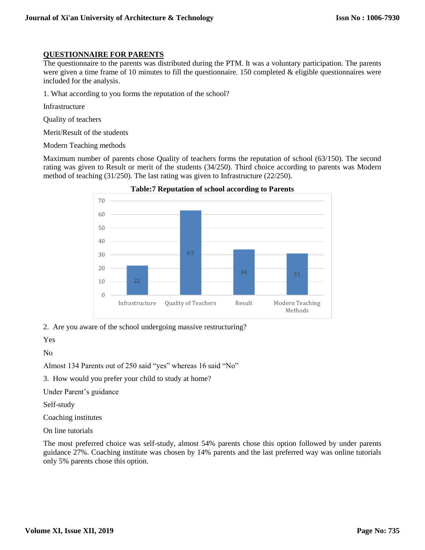### **QUESTIONNAIRE FOR PARENTS**

The questionnaire to the parents was distributed during the PTM. It was a voluntary participation. The parents were given a time frame of 10 minutes to fill the questionnaire. 150 completed & eligible questionnaires were included for the analysis.

1. What according to you forms the reputation of the school?

Infrastructure

Quality of teachers

Merit/Result of the students

Modern Teaching methods

Maximum number of parents chose Quality of teachers forms the reputation of school (63/150). The second rating was given to Result or merit of the students (34/250). Third choice according to parents was Modern method of teaching (31/250). The last rating was given to Infrastructure (22/250).



**Table:7 Reputation of school according to Parents**

2. Are you aware of the school undergoing massive restructuring?

Yes

No

Almost 134 Parents out of 250 said "yes" whereas 16 said "No"

3. How would you prefer your child to study at home?

Under Parent's guidance

Self-study

Coaching institutes

On line tutorials

The most preferred choice was self-study, almost 54% parents chose this option followed by under parents guidance 27%. Coaching institute was chosen by 14% parents and the last preferred way was online tutorials only 5% parents chose this option.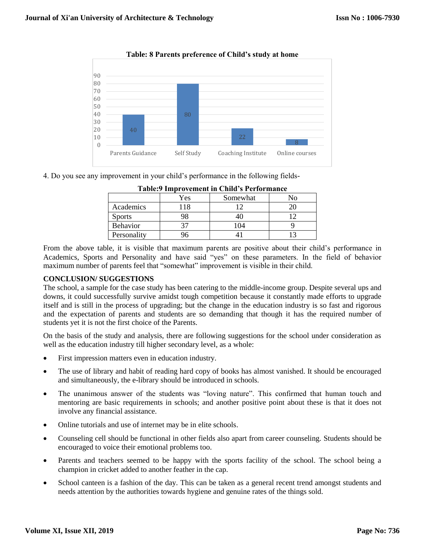

**Table: 8 Parents preference of Child's study at home**

4. Do you see any improvement in your child's performance in the following fields-

| Lavic. The ovenient in Clinu S I cliviliance |     |          |  |  |
|----------------------------------------------|-----|----------|--|--|
|                                              | Yes | Somewhat |  |  |
| Academics                                    | 118 |          |  |  |
| <b>Sports</b>                                |     |          |  |  |
| <b>Behavior</b>                              |     |          |  |  |
| Personality                                  |     |          |  |  |

**Table:9 Improvement in Child's Performance**

From the above table, it is visible that maximum parents are positive about their child's performance in Academics, Sports and Personality and have said "yes" on these parameters. In the field of behavior maximum number of parents feel that "somewhat" improvement is visible in their child.

# **CONCLUSION/ SUGGESTIONS**

The school, a sample for the case study has been catering to the middle-income group. Despite several ups and downs, it could successfully survive amidst tough competition because it constantly made efforts to upgrade itself and is still in the process of upgrading; but the change in the education industry is so fast and rigorous and the expectation of parents and students are so demanding that though it has the required number of students yet it is not the first choice of the Parents.

On the basis of the study and analysis, there are following suggestions for the school under consideration as well as the education industry till higher secondary level, as a whole:

- First impression matters even in education industry.
- The use of library and habit of reading hard copy of books has almost vanished. It should be encouraged and simultaneously, the e-library should be introduced in schools.
- The unanimous answer of the students was "loving nature". This confirmed that human touch and mentoring are basic requirements in schools; and another positive point about these is that it does not involve any financial assistance.
- Online tutorials and use of internet may be in elite schools.
- Counseling cell should be functional in other fields also apart from career counseling. Students should be encouraged to voice their emotional problems too.
- Parents and teachers seemed to be happy with the sports facility of the school. The school being a champion in cricket added to another feather in the cap.
- School canteen is a fashion of the day. This can be taken as a general recent trend amongst students and needs attention by the authorities towards hygiene and genuine rates of the things sold.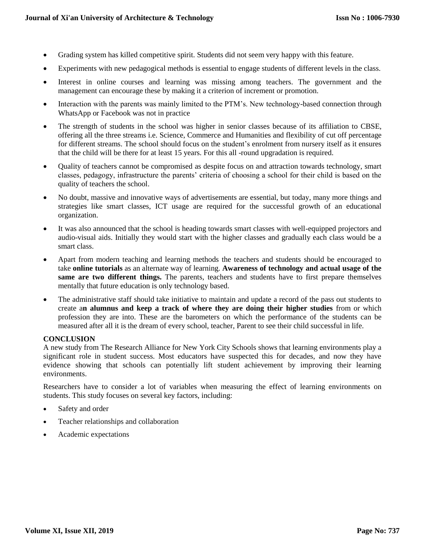- Grading system has killed competitive spirit. Students did not seem very happy with this feature.
- Experiments with new pedagogical methods is essential to engage students of different levels in the class.
- Interest in online courses and learning was missing among teachers. The government and the management can encourage these by making it a criterion of increment or promotion.
- Interaction with the parents was mainly limited to the PTM's. New technology-based connection through WhatsApp or Facebook was not in practice
- The strength of students in the school was higher in senior classes because of its affiliation to CBSE, offering all the three streams i.e. Science, Commerce and Humanities and flexibility of cut off percentage for different streams. The school should focus on the student's enrolment from nursery itself as it ensures that the child will be there for at least 15 years. For this all -round upgradation is required.
- Quality of teachers cannot be compromised as despite focus on and attraction towards technology, smart classes, pedagogy, infrastructure the parents' criteria of choosing a school for their child is based on the quality of teachers the school.
- No doubt, massive and innovative ways of advertisements are essential, but today, many more things and strategies like smart classes, ICT usage are required for the successful growth of an educational organization.
- It was also announced that the school is heading towards smart classes with well-equipped projectors and audio-visual aids. Initially they would start with the higher classes and gradually each class would be a smart class.
- Apart from modern teaching and learning methods the teachers and students should be encouraged to take **online tutorials** as an alternate way of learning. **Awareness of technology and actual usage of the same are two different things.** The parents, teachers and students have to first prepare themselves mentally that future education is only technology based.
- The administrative staff should take initiative to maintain and update a record of the pass out students to create a**n alumnus and keep a track of where they are doing their higher studies** from or which profession they are into. These are the barometers on which the performance of the students can be measured after all it is the dream of every school, teacher, Parent to see their child successful in life.

### **CONCLUSION**

A new study from [The Research Alliance for New York City Schools](http://steinhardt.nyu.edu/scmsAdmin/media/users/sg158/PDFs/schools_as_organizations/SchoolOrganizationalContexts_WorkingPaper.pdf) shows that learning environments play a significant role in student success. Most educators have suspected this for decades, and now they have evidence showing that schools can potentially lift student achievement by improving their learning environments.

Researchers have to consider a lot of variables when measuring the effect of learning environments on students. This study focuses on several key factors, including:

- Safety and order
- Teacher relationships and collaboration
- Academic expectations